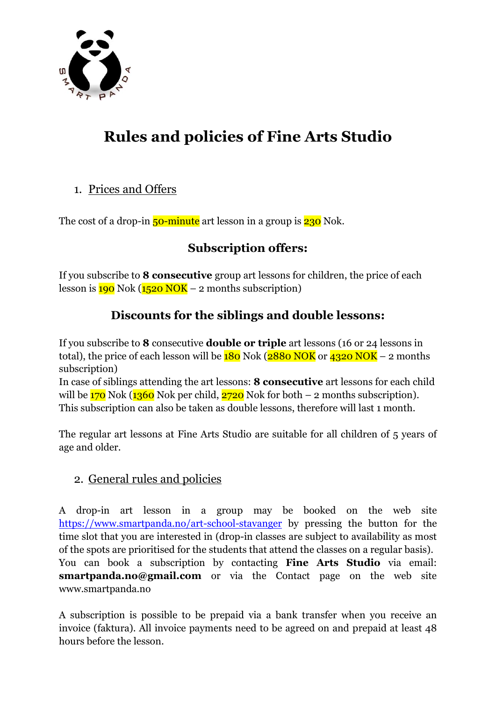

# **Rules and policies of Fine Arts Studio**

#### 1. Prices and Offers

The cost of a drop-in  $50$ -minute art lesson in a group is  $230$  Nok.

# **Subscription offers:**

If you subscribe to **8 consecutive** group art lessons for children, the price of each lesson is  $190$  Nok ( $1520$  NOK – 2 months subscription)

## **Discounts for the siblings and double lessons:**

If you subscribe to **8** consecutive **double or triple** art lessons (16 or 24 lessons in total), the price of each lesson will be  $180$  Nok ( $2880$  NOK or  $4320$  NOK – 2 months subscription)

In case of siblings attending the art lessons: **8 consecutive** art lessons for each child will be  $170$  Nok ( $1360$  Nok per child,  $2720$  Nok for both – 2 months subscription). This subscription can also be taken as double lessons, therefore will last 1 month.

The regular art lessons at Fine Arts Studio are suitable for all children of 5 years of age and older.

## 2. General rules and policies

A drop-in art lesson in a group may be booked on the web site <https://www.smartpanda.no/art-school-stavanger> by pressing the button for the time slot that you are interested in (drop-in classes are subject to availability as most of the spots are prioritised for the students that attend the classes on a regular basis).

You can book a subscription by contacting **Fine Arts Studio** via email: **smartpanda.no@gmail.com** or via the Contact page on the web site www.smartpanda.no

A subscription is possible to be prepaid via a bank transfer when you receive an invoice (faktura). All invoice payments need to be agreed on and prepaid at least 48 hours before the lesson.